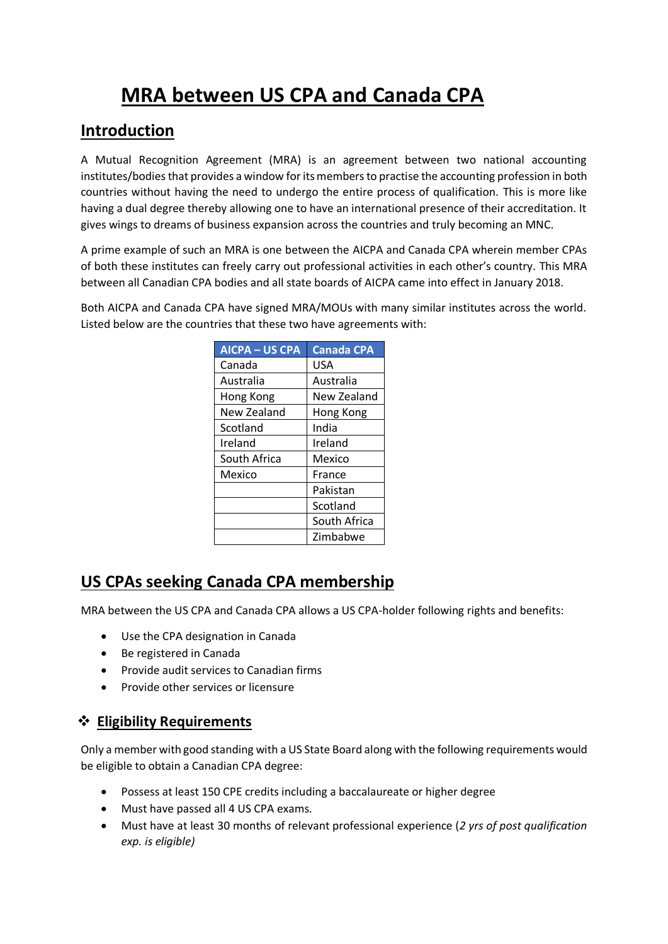# **MRA between US CPA and Canada CPA**

## **Introduction**

A Mutual Recognition Agreement (MRA) is an agreement between two national accounting institutes/bodies that provides a window for its members to practise the accounting profession in both countries without having the need to undergo the entire process of qualification. This is more like having a dual degree thereby allowing one to have an international presence of their accreditation. It gives wings to dreams of business expansion across the countries and truly becoming an MNC.

A prime example of such an MRA is one between the AICPA and Canada CPA wherein member CPAs of both these institutes can freely carry out professional activities in each other's country. This MRA between all Canadian CPA bodies and all state boards of AICPA came into effect in January 2018.

Both AICPA and Canada CPA have signed MRA/MOUs with many similar institutes across the world. Listed below are the countries that these two have agreements with:

| <b>AICPA - US CPA</b> | <b>Canada CPA</b> |
|-----------------------|-------------------|
| Canada                | USA               |
| Australia             | Australia         |
| Hong Kong             | New Zealand       |
| New Zealand           | Hong Kong         |
| Scotland              | India             |
| Ireland               | Ireland           |
| South Africa          | Mexico            |
| Mexico                | France            |
|                       | Pakistan          |
|                       | Scotland          |
|                       | South Africa      |
|                       | Zimbabwe          |

## **US CPAs seeking Canada CPA membership**

MRA between the US CPA and Canada CPA allows a US CPA-holder following rights and benefits:

- Use the CPA designation in Canada
- Be registered in Canada
- Provide audit services to Canadian firms
- Provide other services or licensure

### **Eligibility Requirements**

Only a member with good standing with a US State Board along with the following requirements would be eligible to obtain a Canadian CPA degree:

- Possess at least 150 CPE credits including a baccalaureate or higher degree
- Must have passed all 4 US CPA exams.
- Must have at least 30 months of relevant professional experience (*2 yrs of post qualification exp. is eligible)*